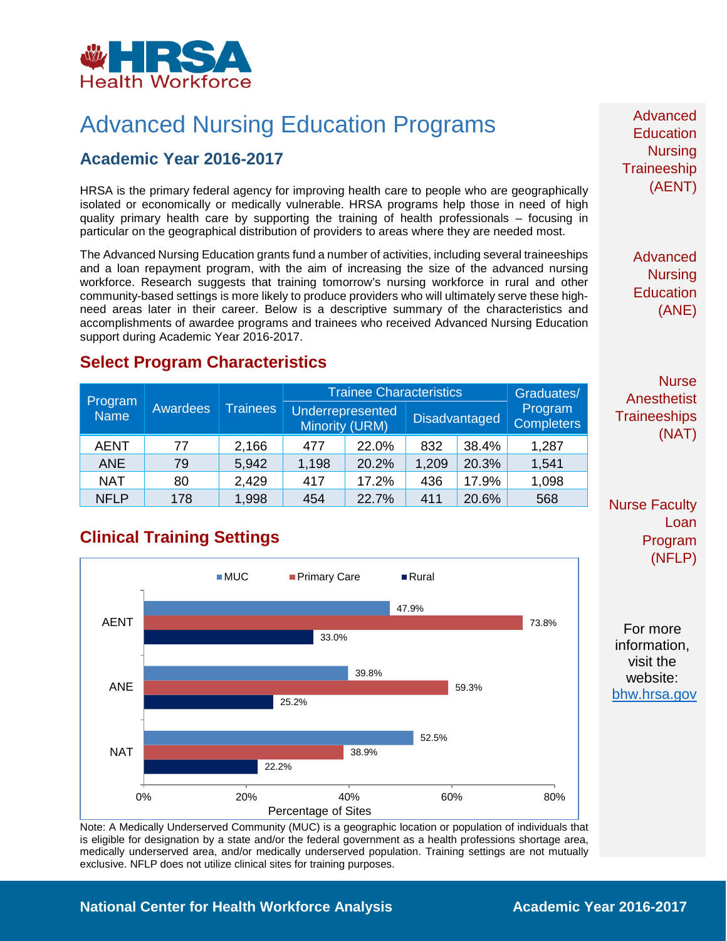

# Advanced Nursing Education Programs

### **Academic Year 2016-2017**

HRSA is the primary federal agency for improving health care to people who are geographically isolated or economically or medically vulnerable. HRSA programs help those in need of high quality primary health care by supporting the training of health professionals – focusing in particular on the geographical distribution of providers to areas where they are needed most.

The Advanced Nursing Education grants fund a number of activities, including several traineeships and a loan repayment program, with the aim of increasing the size of the advanced nursing workforce. Research suggests that training tomorrow's nursing workforce in rural and other community-based settings is more likely to produce providers who will ultimately serve these highneed areas later in their career. Below is a descriptive summary of the characteristics and accomplishments of awardee programs and trainees who received Advanced Nursing Education support during Academic Year 2016-2017.

Advanced **Education Nursing Traineeship** (AENT)

> Advanced **Nursing Education** (ANE)

**Nurse** Anesthetist **Traineeships** (NAT)

#### Nurse Faculty Loan Program (NFLP)

For more information, visit the website: [bhw.hrsa.gov](http://bhw.hrsa.gov/)

## **Select Program Characteristics**

|                        | <b>Awardees</b> | <b>Trainees</b> | <b>Trainee Characteristics</b> |                  |       |                      | Graduates/                   |
|------------------------|-----------------|-----------------|--------------------------------|------------------|-------|----------------------|------------------------------|
| Program<br><b>Name</b> |                 |                 | <b>Minority (URM)</b>          | Underrepresented |       | <b>Disadvantaged</b> | Program<br><b>Completers</b> |
| <b>AENT</b>            | 77              | 2,166           | 477                            | 22.0%            | 832   | 38.4%                | 1,287                        |
| <b>ANE</b>             | 79              | 5,942           | 1,198                          | 20.2%            | 1,209 | 20.3%                | 1,541                        |
| <b>NAT</b>             | 80              | 2,429           | 417                            | 17.2%            | 436   | 17.9%                | 1,098                        |
| <b>NFLP</b>            | 178             | 1,998           | 454                            | 22.7%            | 411   | 20.6%                | 568                          |

### **Clinical Training Settings**



Note: A Medically Underserved Community (MUC) is a geographic location or population of individuals that is eligible for designation by a state and/or the federal government as a health professions shortage area, medically underserved area, and/or medically underserved population. Training settings are not mutually exclusive. NFLP does not utilize clinical sites for training purposes.

#### **National Center for Health Workforce Analysis Mational Center 2016-2017**